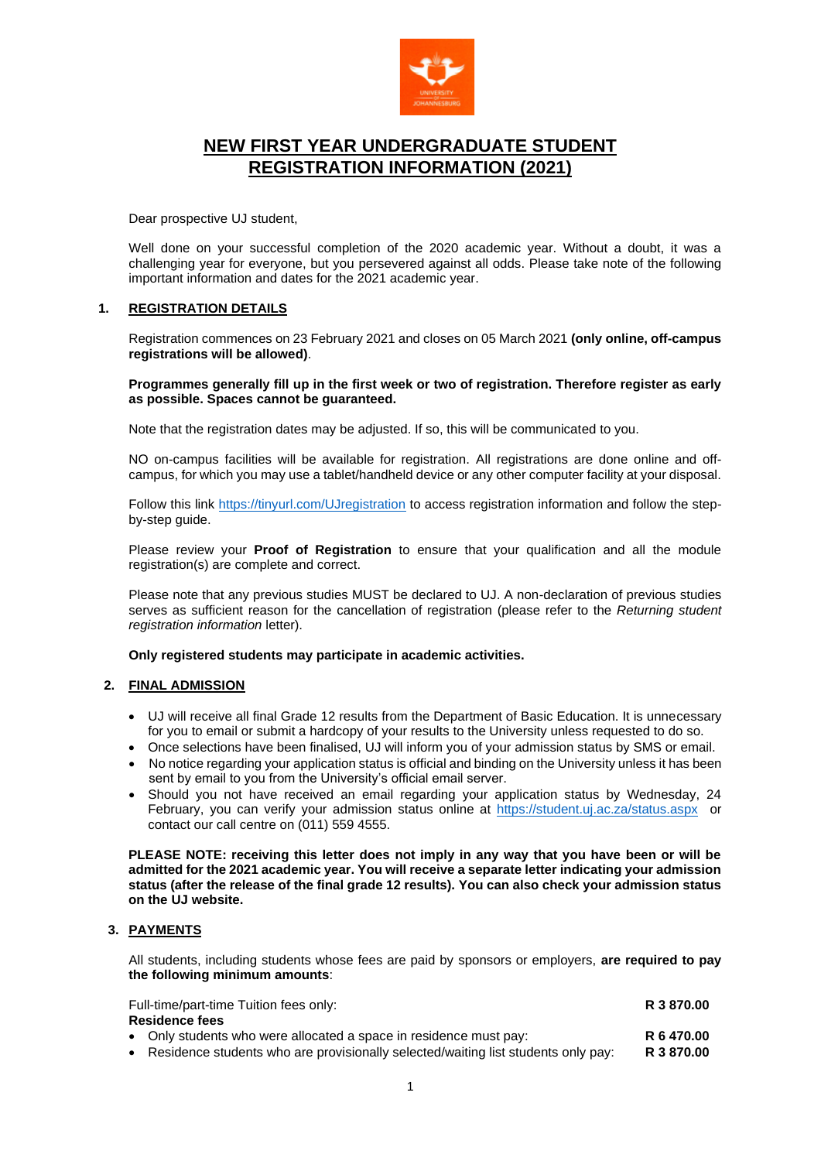

# **NEW FIRST YEAR UNDERGRADUATE STUDENT REGISTRATION INFORMATION (2021)**

Dear prospective UJ student,

Well done on your successful completion of the 2020 academic year. Without a doubt, it was a challenging year for everyone, but you persevered against all odds. Please take note of the following important information and dates for the 2021 academic year.

# **1. REGISTRATION DETAILS**

Registration commences on 23 February 2021 and closes on 05 March 2021 **(only online, off-campus registrations will be allowed)**.

**Programmes generally fill up in the first week or two of registration. Therefore register as early as possible. Spaces cannot be guaranteed.**

Note that the registration dates may be adjusted. If so, this will be communicated to you.

NO on-campus facilities will be available for registration. All registrations are done online and offcampus, for which you may use a tablet/handheld device or any other computer facility at your disposal.

Follow this link<https://tinyurl.com/UJregistration> to access registration information and follow the stepby-step guide.

Please review your **Proof of Registration** to ensure that your qualification and all the module registration(s) are complete and correct.

Please note that any previous studies MUST be declared to UJ. A non-declaration of previous studies serves as sufficient reason for the cancellation of registration (please refer to the *Returning student registration information* letter).

**Only registered students may participate in academic activities.**

# **2. FINAL ADMISSION**

- UJ will receive all final Grade 12 results from the Department of Basic Education. It is unnecessary for you to email or submit a hardcopy of your results to the University unless requested to do so.
- Once selections have been finalised, UJ will inform you of your admission status by SMS or email.
- No notice regarding your application status is official and binding on the University unless it has been sent by email to you from the University's official email server.
- Should you not have received an email regarding your application status by Wednesday, 24 February, you can verify your admission status online at<https://student.uj.ac.za/status.aspx>or contact our call centre on (011) 559 4555.

**PLEASE NOTE: receiving this letter does not imply in any way that you have been or will be admitted for the 2021 academic year. You will receive a separate letter indicating your admission status (after the release of the final grade 12 results). You can also check your admission status on the UJ website.**

# **3. PAYMENTS**

All students, including students whose fees are paid by sponsors or employers, **are required to pay the following minimum amounts**:

| Full-time/part-time Tuition fees only: |                                                                                     | R 3 870.00 |  |
|----------------------------------------|-------------------------------------------------------------------------------------|------------|--|
| <b>Residence fees</b>                  |                                                                                     |            |  |
|                                        | • Only students who were allocated a space in residence must pay:                   | R 6 470.00 |  |
|                                        | • Residence students who are provisionally selected/waiting list students only pay: | R 3 870.00 |  |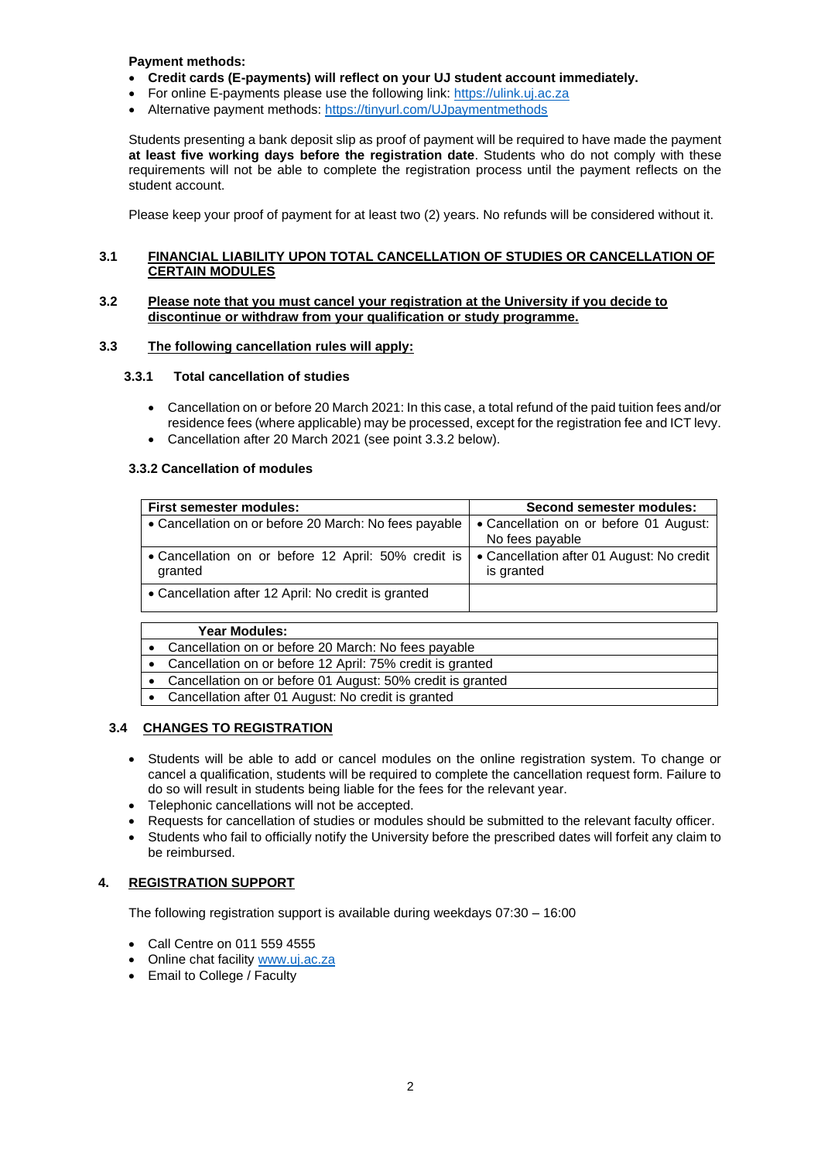**Payment methods:**

- **Credit cards (E-payments) will reflect on your UJ student account immediately.**
- For online E-payments please use the following link: [https://ulink.uj.ac.za](https://ulink.uj.ac.za/)
- Alternative payment methods: <https://tinyurl.com/UJpaymentmethods>

Students presenting a bank deposit slip as proof of payment will be required to have made the payment **at least five working days before the registration date**. Students who do not comply with these requirements will not be able to complete the registration process until the payment reflects on the student account.

Please keep your proof of payment for at least two (2) years. No refunds will be considered without it.

# **3.1 FINANCIAL LIABILITY UPON TOTAL CANCELLATION OF STUDIES OR CANCELLATION OF CERTAIN MODULES**

# **3.2 Please note that you must cancel your registration at the University if you decide to discontinue or withdraw from your qualification or study programme.**

# **3.3 The following cancellation rules will apply:**

# **3.3.1 Total cancellation of studies**

- Cancellation on or before 20 March 2021: In this case, a total refund of the paid tuition fees and/or residence fees (where applicable) may be processed, except for the registration fee and ICT levy.
- Cancellation after 20 March 2021 (see point 3.3.2 below).

# **3.3.2 Cancellation of modules**

| <b>First semester modules:</b>                                 | <b>Second semester modules:</b>                           |  |  |
|----------------------------------------------------------------|-----------------------------------------------------------|--|--|
|                                                                |                                                           |  |  |
| • Cancellation on or before 20 March: No fees payable          | • Cancellation on or before 01 August:<br>No fees payable |  |  |
| • Cancellation on or before 12 April: 50% credit is<br>granted | • Cancellation after 01 August: No credit<br>is granted   |  |  |
| • Cancellation after 12 April: No credit is granted            |                                                           |  |  |
|                                                                |                                                           |  |  |
| Year Modules:                                                  |                                                           |  |  |
| • Cancellation on or before 20 March: No fees payable          |                                                           |  |  |

- Cancellation on or before 12 April: 75% credit is granted
- Cancellation on or before 01 August: 50% credit is granted
- Cancellation after 01 August: No credit is granted

# **3.4 CHANGES TO REGISTRATION**

- Students will be able to add or cancel modules on the online registration system. To change or cancel a qualification, students will be required to complete the cancellation request form. Failure to do so will result in students being liable for the fees for the relevant year.
- Telephonic cancellations will not be accepted.
- Requests for cancellation of studies or modules should be submitted to the relevant faculty officer.
- Students who fail to officially notify the University before the prescribed dates will forfeit any claim to be reimbursed.

# **4. REGISTRATION SUPPORT**

The following registration support is available during weekdays 07:30 – 16:00

- Call Centre on 011 559 4555
- Online chat facility [www.uj.ac.za](http://www.uj.ac.za/)
- Email to College / Faculty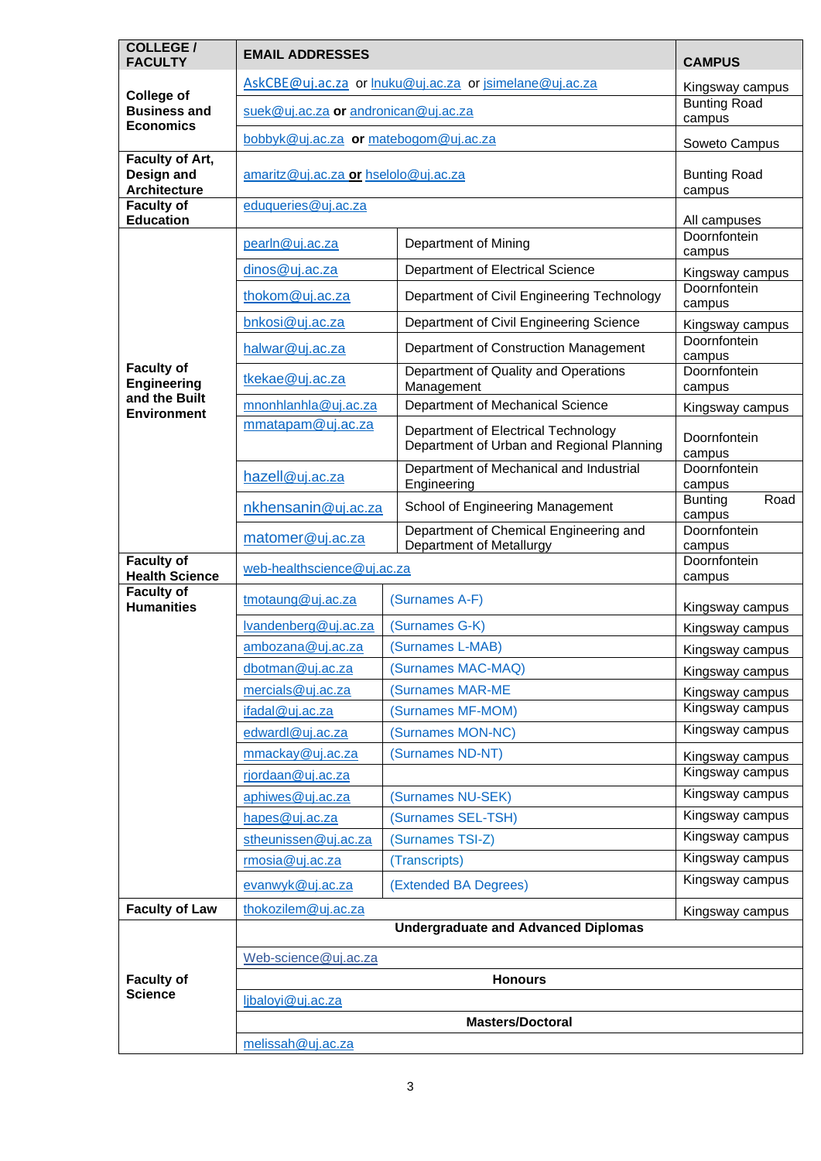| <b>COLLEGE /</b><br><b>FACULTY</b>                           | <b>EMAIL ADDRESSES</b>                                  | <b>CAMPUS</b>                                                                    |                                  |  |
|--------------------------------------------------------------|---------------------------------------------------------|----------------------------------------------------------------------------------|----------------------------------|--|
|                                                              | AskCBE@uj.ac.za or Inuku@uj.ac.za or jsimelane@uj.ac.za | Kingsway campus                                                                  |                                  |  |
| <b>College of</b><br><b>Business and</b><br><b>Economics</b> | suek@uj.ac.za or andronican@uj.ac.za                    | <b>Bunting Road</b><br>campus                                                    |                                  |  |
|                                                              | bobbyk@uj.ac.za or matebogom@uj.ac.za                   | Soweto Campus                                                                    |                                  |  |
| Faculty of Art,<br>Design and<br><b>Architecture</b>         | amaritz@uj.ac.za or hselolo@uj.ac.za                    | <b>Bunting Road</b><br>campus                                                    |                                  |  |
| <b>Faculty of</b><br><b>Education</b>                        | eduqueries@uj.ac.za                                     | All campuses                                                                     |                                  |  |
|                                                              | pearln@uj.ac.za                                         | Department of Mining                                                             | Doornfontein<br>campus           |  |
|                                                              | dinos@uj.ac.za                                          | Department of Electrical Science                                                 | Kingsway campus                  |  |
|                                                              | thokom@uj.ac.za                                         | Department of Civil Engineering Technology                                       | Doornfontein<br>campus           |  |
|                                                              | bnkosi@uj.ac.za                                         | Department of Civil Engineering Science                                          | Kingsway campus                  |  |
|                                                              | halwar@uj.ac.za                                         | Department of Construction Management                                            | Doornfontein<br>campus           |  |
| <b>Faculty of</b><br>Engineering                             | tkekae@uj.ac.za                                         | Department of Quality and Operations<br>Management                               | Doornfontein<br>campus           |  |
| and the Built                                                | mnonhlanhla@uj.ac.za                                    | Department of Mechanical Science                                                 | Kingsway campus                  |  |
| <b>Environment</b>                                           | mmatapam@uj.ac.za                                       | Department of Electrical Technology<br>Department of Urban and Regional Planning | Doornfontein                     |  |
|                                                              | hazell@uj.ac.za                                         | Department of Mechanical and Industrial<br>Engineering                           | campus<br>Doornfontein<br>campus |  |
|                                                              | nkhensanin@uj.ac.za                                     | School of Engineering Management                                                 | Road<br><b>Bunting</b><br>campus |  |
|                                                              | matomer@uj.ac.za                                        | Department of Chemical Engineering and<br>Department of Metallurgy               | Doornfontein<br>campus           |  |
| <b>Faculty of</b><br><b>Health Science</b>                   | web-healthscience@uj.ac.za                              |                                                                                  | Doornfontein<br>campus           |  |
| <b>Faculty of</b><br><b>Humanities</b>                       | tmotaung@uj.ac.za                                       | (Surnames A-F)                                                                   | Kingsway campus                  |  |
|                                                              | Ivandenberg@uj.ac.za                                    | (Surnames G-K)                                                                   | Kingsway campus                  |  |
|                                                              | ambozana@uj.ac.za                                       | (Surnames L-MAB)                                                                 | Kingsway campus                  |  |
|                                                              | dbotman@uj.ac.za                                        | (Surnames MAC-MAQ)                                                               | Kingsway campus                  |  |
|                                                              | mercials@uj.ac.za                                       | (Surnames MAR-ME                                                                 | Kingsway campus                  |  |
|                                                              | ifadal@uj.ac.za                                         | (Surnames MF-MOM)                                                                | Kingsway campus                  |  |
|                                                              | edwardl@uj.ac.za                                        | (Surnames MON-NC)                                                                | Kingsway campus                  |  |
|                                                              | mmackay@uj.ac.za                                        | (Surnames ND-NT)                                                                 | Kingsway campus                  |  |
|                                                              | rjordaan@uj.ac.za                                       |                                                                                  | Kingsway campus                  |  |
|                                                              | aphiwes@uj.ac.za                                        | (Surnames NU-SEK)                                                                | Kingsway campus                  |  |
|                                                              | hapes@uj.ac.za                                          | (Surnames SEL-TSH)                                                               | Kingsway campus                  |  |
|                                                              | stheunissen@uj.ac.za                                    | (Surnames TSI-Z)                                                                 | Kingsway campus                  |  |
|                                                              | rmosia@uj.ac.za                                         | (Transcripts)                                                                    | Kingsway campus                  |  |
|                                                              | evanwyk@uj.ac.za                                        | (Extended BA Degrees)                                                            | Kingsway campus                  |  |
| <b>Faculty of Law</b>                                        | thokozilem@uj.ac.za                                     |                                                                                  | Kingsway campus                  |  |
|                                                              |                                                         | <b>Undergraduate and Advanced Diplomas</b>                                       |                                  |  |
|                                                              | Web-science@uj.ac.za                                    |                                                                                  |                                  |  |
| <b>Faculty of</b>                                            |                                                         | <b>Honours</b>                                                                   |                                  |  |
| <b>Science</b>                                               | ljbaloyi@uj.ac.za                                       |                                                                                  |                                  |  |
|                                                              |                                                         | <b>Masters/Doctoral</b>                                                          |                                  |  |
|                                                              | melissah@uj.ac.za                                       |                                                                                  |                                  |  |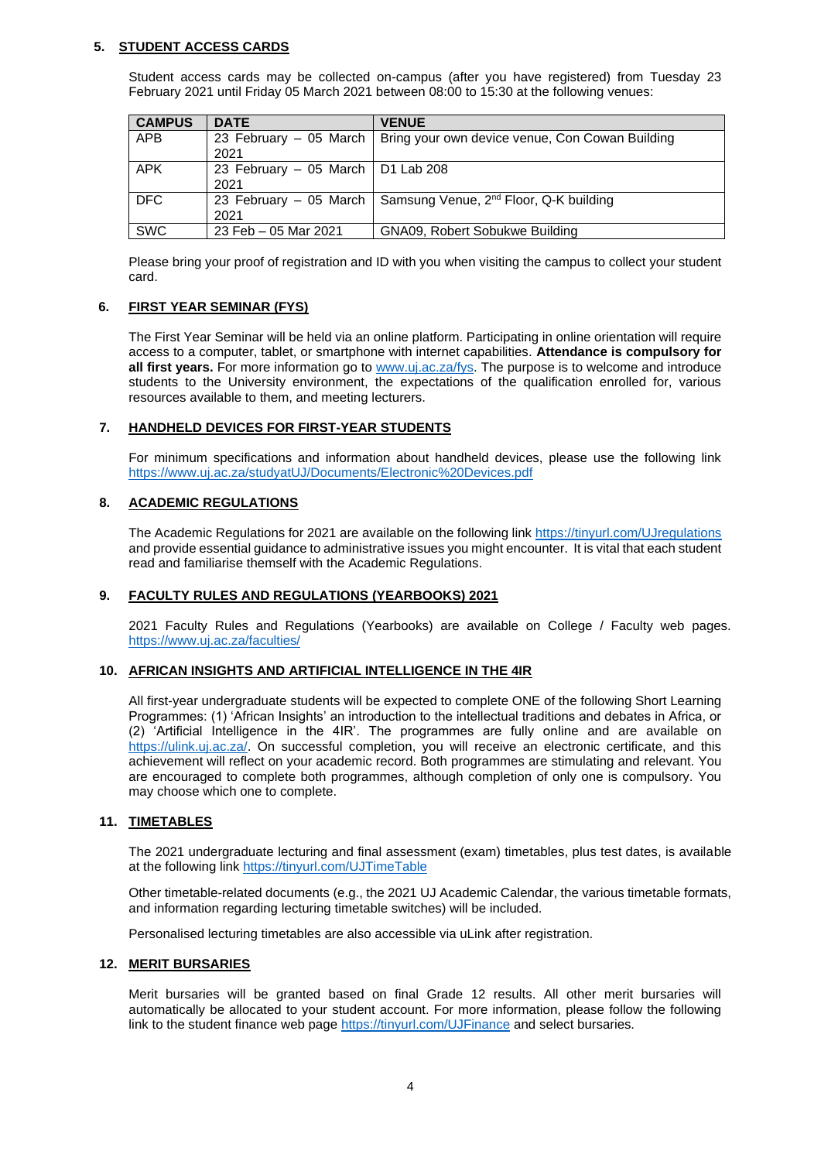# **5. STUDENT ACCESS CARDS**

Student access cards may be collected on-campus (after you have registered) from Tuesday 23 February 2021 until Friday 05 March 2021 between 08:00 to 15:30 at the following venues:

| <b>CAMPUS</b> | <b>DATE</b>                                 | <b>VENUE</b>                                                             |
|---------------|---------------------------------------------|--------------------------------------------------------------------------|
| <b>APB</b>    | 2021                                        | 23 February – 05 March   Bring your own device venue, Con Cowan Building |
| <b>APK</b>    | 23 February - 05 March   D1 Lab 208<br>2021 |                                                                          |
| <b>DFC</b>    | 2021                                        | 23 February - 05 March   Samsung Venue, $2^{nd}$ Floor, Q-K building     |
| <b>SWC</b>    | 23 Feb - 05 Mar 2021                        | GNA09, Robert Sobukwe Building                                           |

Please bring your proof of registration and ID with you when visiting the campus to collect your student card.

#### **6. FIRST YEAR SEMINAR (FYS)**

The First Year Seminar will be held via an online platform. Participating in online orientation will require access to a computer, tablet, or smartphone with internet capabilities. **Attendance is compulsory for all first years.** For more information go to [www.uj.ac.za/fys.](http://www.uj.ac.za/fys) The purpose is to welcome and introduce students to the University environment, the expectations of the qualification enrolled for, various resources available to them, and meeting lecturers.

#### **7. HANDHELD DEVICES FOR FIRST-YEAR STUDENTS**

For minimum specifications and information about handheld devices, please use the following link <https://www.uj.ac.za/studyatUJ/Documents/Electronic%20Devices.pdf>

#### **8. ACADEMIC REGULATIONS**

The Academic Regulations for 2021 are available on the following link <https://tinyurl.com/UJregulations> and provide essential guidance to administrative issues you might encounter. It is vital that each student read and familiarise themself with the Academic Regulations.

# **9. FACULTY RULES AND REGULATIONS (YEARBOOKS) 2021**

2021 Faculty Rules and Regulations (Yearbooks) are available on College / Faculty web pages. <https://www.uj.ac.za/faculties/>

# **10. AFRICAN INSIGHTS AND ARTIFICIAL INTELLIGENCE IN THE 4IR**

All first-year undergraduate students will be expected to complete ONE of the following Short Learning Programmes: (1) 'African Insights' an introduction to the intellectual traditions and debates in Africa, or (2) 'Artificial Intelligence in the 4IR'. The programmes are fully online and are available on [https://ulink.uj.ac.za/.](https://ulink.uj.ac.za/) On successful completion, you will receive an electronic certificate, and this achievement will reflect on your academic record. Both programmes are stimulating and relevant. You are encouraged to complete both programmes, although completion of only one is compulsory. You may choose which one to complete.

#### **11. TIMETABLES**

The 2021 undergraduate lecturing and final assessment (exam) timetables, plus test dates, is available at the following link<https://tinyurl.com/UJTimeTable>

Other timetable-related documents (e.g., the 2021 UJ Academic Calendar, the various timetable formats, and information regarding lecturing timetable switches) will be included.

Personalised lecturing timetables are also accessible via uLink after registration.

#### **12. MERIT BURSARIES**

Merit bursaries will be granted based on final Grade 12 results. All other merit bursaries will automatically be allocated to your student account. For more information, please follow the following link to the student finance web page <https://tinyurl.com/UJFinance> and select bursaries.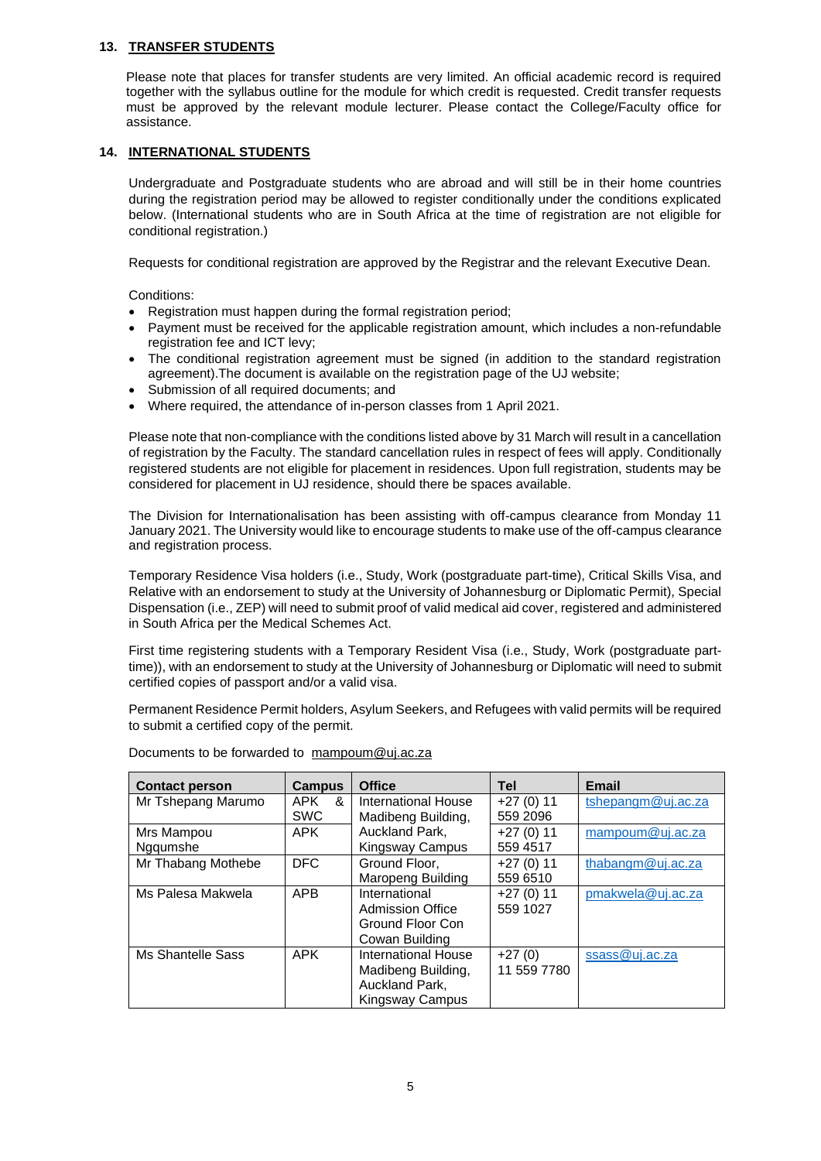#### **13. TRANSFER STUDENTS**

Please note that places for transfer students are very limited. An official academic record is required together with the syllabus outline for the module for which credit is requested. Credit transfer requests must be approved by the relevant module lecturer. Please contact the College/Faculty office for assistance.

#### **14. INTERNATIONAL STUDENTS**

Undergraduate and Postgraduate students who are abroad and will still be in their home countries during the registration period may be allowed to register conditionally under the conditions explicated below. (International students who are in South Africa at the time of registration are not eligible for conditional registration.)

Requests for conditional registration are approved by the Registrar and the relevant Executive Dean.

Conditions:

- Registration must happen during the formal registration period;
- Payment must be received for the applicable registration amount, which includes a non-refundable registration fee and ICT levy;
- The conditional registration agreement must be signed (in addition to the standard registration agreement).The document is available on the registration page of the UJ website;
- Submission of all required documents; and
- Where required, the attendance of in-person classes from 1 April 2021.

Please note that non-compliance with the conditions listed above by 31 March will result in a cancellation of registration by the Faculty. The standard cancellation rules in respect of fees will apply. Conditionally registered students are not eligible for placement in residences. Upon full registration, students may be considered for placement in UJ residence, should there be spaces available.

The Division for Internationalisation has been assisting with off-campus clearance from Monday 11 January 2021. The University would like to encourage students to make use of the off-campus clearance and registration process.

Temporary Residence Visa holders (i.e., Study, Work (postgraduate part-time), Critical Skills Visa, and Relative with an endorsement to study at the University of Johannesburg or Diplomatic Permit), Special Dispensation (i.e., ZEP) will need to submit proof of valid medical aid cover, registered and administered in South Africa per the Medical Schemes Act.

First time registering students with a Temporary Resident Visa (i.e., Study, Work (postgraduate parttime)), with an endorsement to study at the University of Johannesburg or Diplomatic will need to submit certified copies of passport and/or a valid visa.

Permanent Residence Permit holders, Asylum Seekers, and Refugees with valid permits will be required to submit a certified copy of the permit.

| <b>Contact person</b> | <b>Campus</b> | <b>Office</b>       | <b>Tel</b>  | <b>Email</b>       |
|-----------------------|---------------|---------------------|-------------|--------------------|
| Mr Tshepang Marumo    | APK<br>&      | International House | $+27(0)11$  | tshepangm@uj.ac.za |
|                       | <b>SWC</b>    | Madibeng Building,  | 559 2096    |                    |
| Mrs Mampou            | APK           | Auckland Park,      | $+27(0)11$  | mampoum@ui.ac.za   |
| Nggumshe              |               | Kingsway Campus     | 559 4517    |                    |
| Mr Thabang Mothebe    | <b>DFC</b>    | Ground Floor.       | $+27(0)11$  | thabangm@uj.ac.za  |
|                       |               | Maropeng Building   | 559 6510    |                    |
| Ms Palesa Makwela     | <b>APB</b>    | International       | $+27(0)11$  | pmakwela@uj.ac.za  |
|                       |               | Admission Office    | 559 1027    |                    |
|                       |               | Ground Floor Con    |             |                    |
|                       |               | Cowan Building      |             |                    |
| Ms Shantelle Sass     | <b>APK</b>    | International House | $+27(0)$    | ssass@uj.ac.za     |
|                       |               | Madibeng Building,  | 11 559 7780 |                    |
|                       |               | Auckland Park,      |             |                    |
|                       |               | Kingsway Campus     |             |                    |

Documents to be forwarded to [mampoum@uj.ac.za](mailto:mampoum@uj.ac.za)